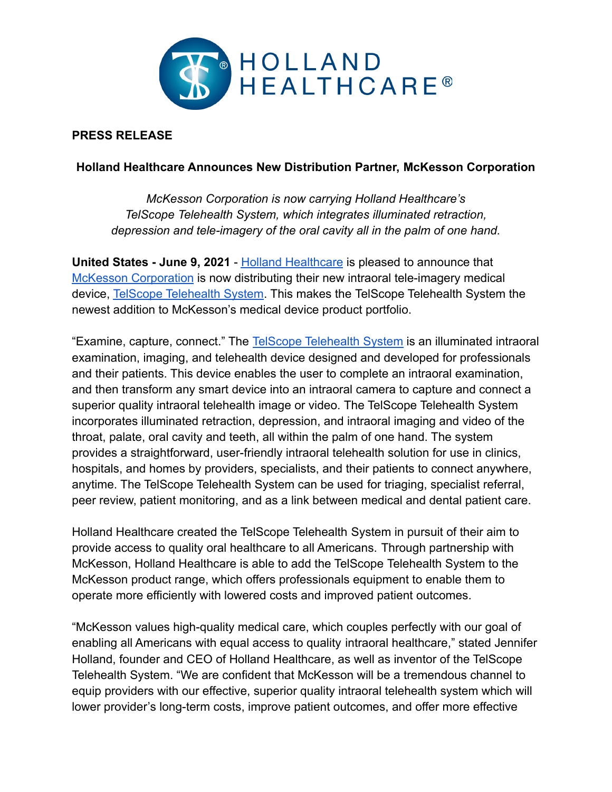

## **PRESS RELEASE**

## **Holland Healthcare Announces New Distribution Partner, McKesson Corporation**

*McKesson Corporation is now carrying Holland Healthcare's TelScope Telehealth System, which integrates illuminated retraction, depression and tele-imagery of the oral cavity all in the palm of one hand.*

**United States - June 9, 2021** - [Holland Healthcare](http://hollandhealthcareinc.com) is pleased to announce that [McKesson Corporation](https://www.mckesson.com/) is now distributing their new intraoral tele-imagery medical device, [TelScope Telehealth System](http://hollandhealthcareinc.com/telscope). This makes the TelScope Telehealth System the newest addition to McKesson's medical device product portfolio.

"Examine, capture, connect." The [TelScope Telehealth](http://hollandhealthcareinc.com/telscope) System is an illuminated intraoral examination, imaging, and telehealth device designed and developed for professionals and their patients. This device enables the user to complete an intraoral examination, and then transform any smart device into an intraoral camera to capture and connect a superior quality intraoral telehealth image or video. The TelScope Telehealth System incorporates illuminated retraction, depression, and intraoral imaging and video of the throat, palate, oral cavity and teeth, all within the palm of one hand. The system provides a straightforward, user-friendly intraoral telehealth solution for use in clinics, hospitals, and homes by providers, specialists, and their patients to connect anywhere, anytime. The TelScope Telehealth System can be used for triaging, specialist referral, peer review, patient monitoring, and as a link between medical and dental patient care.

Holland Healthcare created the TelScope Telehealth System in pursuit of their aim to provide access to quality oral healthcare to all Americans. Through partnership with McKesson, Holland Healthcare is able to add the TelScope Telehealth System to the McKesson product range, which offers professionals equipment to enable them to operate more efficiently with lowered costs and improved patient outcomes.

"McKesson values high-quality medical care, which couples perfectly with our goal of enabling all Americans with equal access to quality intraoral healthcare," stated Jennifer Holland, founder and CEO of Holland Healthcare, as well as inventor of the TelScope Telehealth System. "We are confident that McKesson will be a tremendous channel to equip providers with our effective, superior quality intraoral telehealth system which will lower provider's long-term costs, improve patient outcomes, and offer more effective